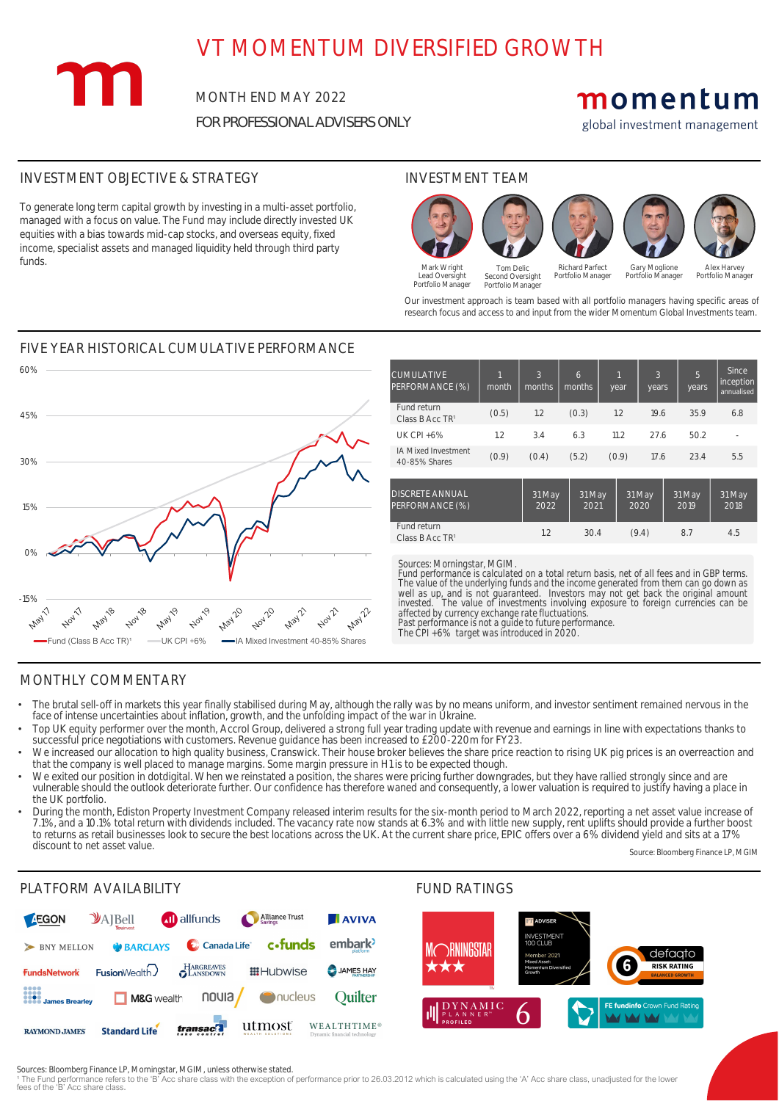# VT MOMENTUM DIVERSIFIED GROWTH

MONTH END MAY 2022 *FOR PROFESSIONAL ADVISERS ONLY*

# momentum

global investment management

## INVESTMENT OBJECTIVE & STRATEGY INVESTMENT TEAM

m

## MONTHLY COMMENTARY

Source: Bloomberg Finance LP, MGIM



### PLATFORM AVAILABILITY THE SERVICE OF THE SERVICE OF THE FUND RATINGS

To generate long term capital growth by investing in a multi-asset portfolio, managed with a focus on value. The Fund may include directly invested UK equities with a bias towards mid-cap stocks, and overseas equity, fixed income, specialist assets and managed liquidity held through third party funds.



<sup>1</sup> The Fund performance refers to the 'B' Acc share class with the exception of performance prior to 26.03.2012 which is calculated using the 'A' Acc share class, unadjusted for the lower fees of the 'B' Acc share class.

Our investment approach is team based with all portfolio managers having specific areas of research focus and access to and input from the wider Momentum Global Investments team.

Mark Wright Lead Oversight Portfolio Manager Second Oversight Portfolio Manager

Richard Parfect Portfolio Manager

Tom Delic







Gary Moglione Portfolio Manager

Alex Harvey Portfolio Manager

Sources: Bloomberg Finance LP, Morningstar, MGIM, unless otherwise stated.

### FIVE YEAR HISTORICAL CUMULATIVE PERFORMANCE 60%

| <b>CUMULATIVE</b><br>PERFORMANCE (%)        | month | 3<br>months    | 6<br>months <sup>'</sup> | year  | 3<br>years     | 5<br>years     | <b>Since</b><br>inception<br>annualised |
|---------------------------------------------|-------|----------------|--------------------------|-------|----------------|----------------|-----------------------------------------|
| Fund return<br>Class B Acc TR <sup>1</sup>  | (0.5) | 1.2            | (0.3)                    | 1.2   | 19.6           | 35.9           | 6.8                                     |
| <b>UK CPI +6%</b>                           | 1.2   | 3.4            | 6.3                      | 11.2  | 27.6           | 50.2           |                                         |
| <b>IA Mixed Investment</b><br>40-85% Shares | (0.9) | (0.4)          | (5.2)                    | (0.9) | 17.6           | 23.4           | 5.5                                     |
| <b>DISCRETE ANNUAL</b><br>PERFORMANCE (%)   |       | 31 May<br>2022 | 31 May<br>2021           |       | 31 May<br>2020 | 31 May<br>2019 | 31 May<br>2018                          |
| Fund return<br>Class B Acc TR <sup>1</sup>  |       | 1.2            | 30.4                     |       | (9.4)          | 8.7            | 4.5                                     |

### *Sources: Morningstar, MGIM.*

*Fund performance is calculated on a total return basis, net of all fees and in GBP terms.*

*The value of the underlying funds and the income generated from them can go down as well as up, and is not guaranteed. Investors may not get back the original amount invested. The value of investments involving exposure to foreign currencies can be affected by currency exchange rate fluctuations. Past performance is not a guide to future performance. The CPI +6% target was introduced in 2020.*



- The brutal sell-off in markets this year finally stabilised during May, although the rally was by no means uniform, and investor sentiment remained nervous in the face of intense uncertainties about inflation, growth, and the unfolding impact of the war in Ukraine.
- Top UK equity performer over the month, Accrol Group, delivered a strong full year trading update with revenue and earnings in line with expectations thanks to successful price negotiations with customers. Revenue guidance has been increased to £200-220m for FY23.
- We increased our allocation to high quality business, Cranswick. Their house broker believes the share price reaction to rising UK pig prices is an overreaction and that the company is well placed to manage margins. Some margin pressure in H1 is to be expected though.
- We exited our position in dotdigital. When we reinstated a position, the shares were pricing further downgrades, but they have rallied strongly since and are vulnerable should the outlook deteriorate further. Our confidence has therefore waned and consequently, a lower valuation is required to justify having a place in the UK portfolio.
- During the month, Ediston Property Investment Company released interim results for the six-month period to March 2022, reporting a net asset value increase of 7.1%, and a 10.1% total return with dividends included. The vacancy rate now stands at 6.3% and with little new supply, rent uplifts should provide a further boost to returns as retail businesses look to secure the best locations across the UK. At the current share price, EPIC offers over a 6% dividend yield and sits at a 17% discount to net asset value.